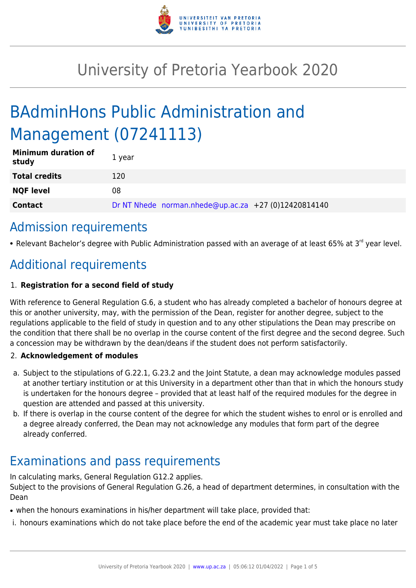

# University of Pretoria Yearbook 2020

# BAdminHons Public Administration and Management (07241113)

| <b>Minimum duration of</b><br>study | 1 year                                               |
|-------------------------------------|------------------------------------------------------|
| <b>Total credits</b>                | 120                                                  |
| <b>NQF level</b>                    | 08                                                   |
| <b>Contact</b>                      | Dr NT Nhede norman.nhede@up.ac.za +27 (0)12420814140 |

# Admission requirements

• Relevant Bachelor's degree with Public Administration passed with an average of at least 65% at 3<sup>rd</sup> year level.

# Additional requirements

## 1. **Registration for a second field of study**

With reference to General Regulation G.6, a student who has already completed a bachelor of honours degree at this or another university, may, with the permission of the Dean, register for another degree, subject to the regulations applicable to the field of study in question and to any other stipulations the Dean may prescribe on the condition that there shall be no overlap in the course content of the first degree and the second degree. Such a concession may be withdrawn by the dean/deans if the student does not perform satisfactorily.

### 2. **Acknowledgement of modules**

- a. Subject to the stipulations of G.22.1, G.23.2 and the Joint Statute, a dean may acknowledge modules passed at another tertiary institution or at this University in a department other than that in which the honours study is undertaken for the honours degree – provided that at least half of the required modules for the degree in question are attended and passed at this university.
- b. If there is overlap in the course content of the degree for which the student wishes to enrol or is enrolled and a degree already conferred, the Dean may not acknowledge any modules that form part of the degree already conferred.

# Examinations and pass requirements

In calculating marks, General Regulation G12.2 applies.

Subject to the provisions of General Regulation G.26, a head of department determines, in consultation with the Dean

- when the honours examinations in his/her department will take place, provided that:
- i. honours examinations which do not take place before the end of the academic year must take place no later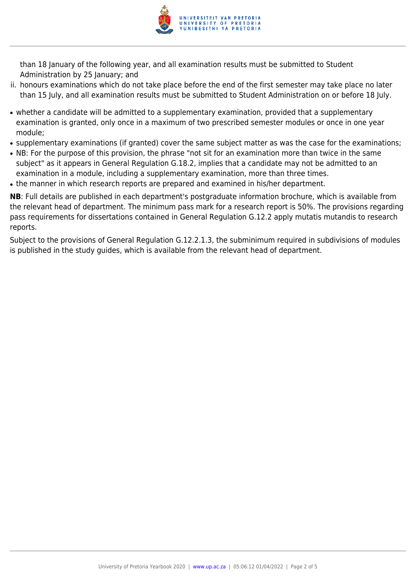

than 18 January of the following year, and all examination results must be submitted to Student Administration by 25 January; and

- ii. honours examinations which do not take place before the end of the first semester may take place no later than 15 July, and all examination results must be submitted to Student Administration on or before 18 July.
- whether a candidate will be admitted to a supplementary examination, provided that a supplementary examination is granted, only once in a maximum of two prescribed semester modules or once in one year module;
- supplementary examinations (if granted) cover the same subject matter as was the case for the examinations;
- NB: For the purpose of this provision, the phrase "not sit for an examination more than twice in the same subject" as it appears in General Regulation G.18.2, implies that a candidate may not be admitted to an examination in a module, including a supplementary examination, more than three times.
- the manner in which research reports are prepared and examined in his/her department.

**NB**: Full details are published in each department's postgraduate information brochure, which is available from the relevant head of department. The minimum pass mark for a research report is 50%. The provisions regarding pass requirements for dissertations contained in General Regulation G.12.2 apply mutatis mutandis to research reports.

Subject to the provisions of General Regulation G.12.2.1.3, the subminimum required in subdivisions of modules is published in the study guides, which is available from the relevant head of department.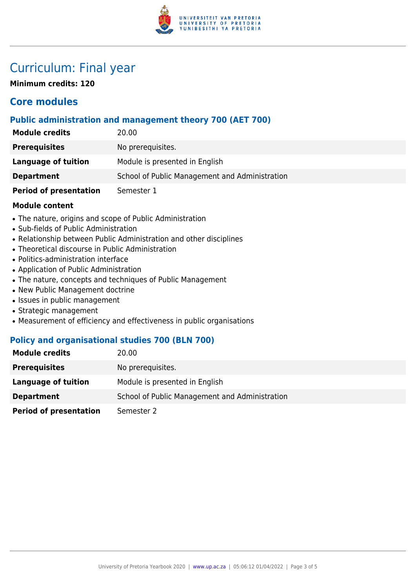

# Curriculum: Final year

**Minimum credits: 120**

## **Core modules**

### **Public administration and management theory 700 (AET 700)**

| <b>Module credits</b>         | 20.00                                          |
|-------------------------------|------------------------------------------------|
| <b>Prerequisites</b>          | No prerequisites.                              |
| Language of tuition           | Module is presented in English                 |
| <b>Department</b>             | School of Public Management and Administration |
| <b>Period of presentation</b> | Semester 1                                     |

#### **Module content**

- The nature, origins and scope of Public Administration
- Sub-fields of Public Administration
- Relationship between Public Administration and other disciplines
- Theoretical discourse in Public Administration
- Politics-administration interface
- Application of Public Administration
- The nature, concepts and techniques of Public Management
- New Public Management doctrine
- Issues in public management
- Strategic management
- Measurement of efficiency and effectiveness in public organisations

### **Policy and organisational studies 700 (BLN 700)**

| <b>Module credits</b>         | 20.00                                          |
|-------------------------------|------------------------------------------------|
| <b>Prerequisites</b>          | No prerequisites.                              |
| Language of tuition           | Module is presented in English                 |
| <b>Department</b>             | School of Public Management and Administration |
| <b>Period of presentation</b> | Semester 2                                     |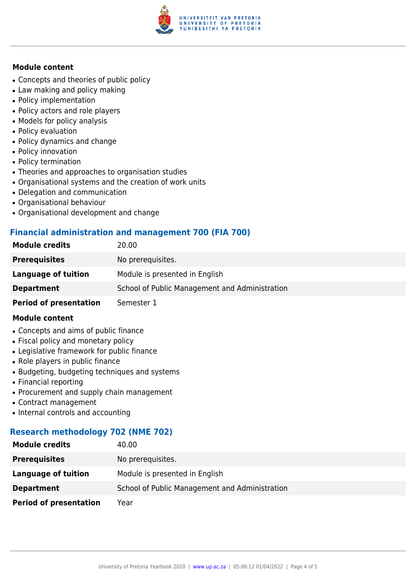

#### **Module content**

- Concepts and theories of public policy
- Law making and policy making
- Policy implementation
- Policy actors and role players
- Models for policy analysis
- Policy evaluation
- Policy dynamics and change
- Policy innovation
- Policy termination
- Theories and approaches to organisation studies
- Organisational systems and the creation of work units
- Delegation and communication
- Organisational behaviour
- Organisational development and change

#### **Financial administration and management 700 (FIA 700)**

| <b>Module credits</b>         | 20.00                                          |
|-------------------------------|------------------------------------------------|
| <b>Prerequisites</b>          | No prerequisites.                              |
| Language of tuition           | Module is presented in English                 |
| <b>Department</b>             | School of Public Management and Administration |
| <b>Period of presentation</b> | Semester 1                                     |

#### **Module content**

- Concepts and aims of public finance
- Fiscal policy and monetary policy
- Legislative framework for public finance
- Role players in public finance
- Budgeting, budgeting techniques and systems
- Financial reporting
- Procurement and supply chain management
- Contract management
- Internal controls and accounting

### **Research methodology 702 (NME 702)**

| <b>Module credits</b>         | 40.00                                          |
|-------------------------------|------------------------------------------------|
| <b>Prerequisites</b>          | No prerequisites.                              |
| Language of tuition           | Module is presented in English                 |
| <b>Department</b>             | School of Public Management and Administration |
| <b>Period of presentation</b> | Year                                           |